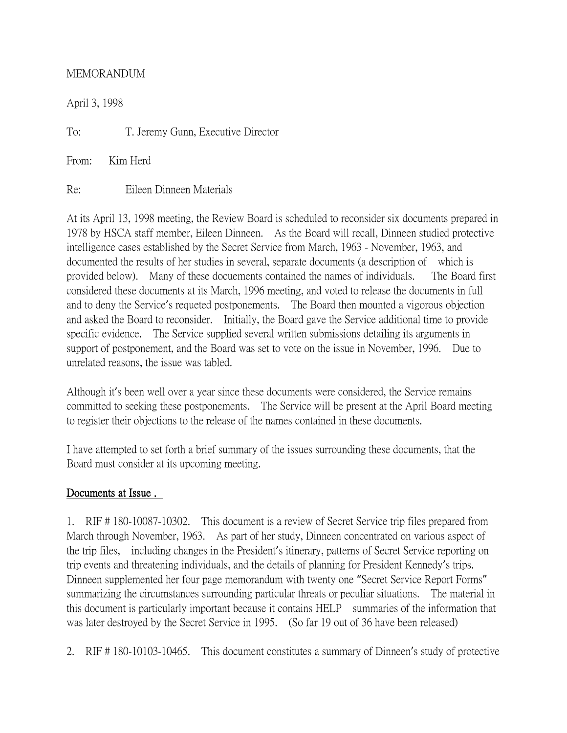### MEMORANDUM

April 3, 1998

To: T. Jeremy Gunn, Executive Director

From: Kim Herd

Re: Eileen Dinneen Materials

At its April 13, 1998 meeting, the Review Board is scheduled to reconsider six documents prepared in 1978 by HSCA staff member, Eileen Dinneen. As the Board will recall, Dinneen studied protective intelligence cases established by the Secret Service from March, 1963 - November, 1963, and documented the results of her studies in several, separate documents (a description of which is provided below). Many of these docuements contained the names of individuals. The Board first considered these documents at its March, 1996 meeting, and voted to release the documents in full and to deny the Service's requeted postponements. The Board then mounted a vigorous objection and asked the Board to reconsider. Initially, the Board gave the Service additional time to provide specific evidence. The Service supplied several written submissions detailing its arguments in support of postponement, and the Board was set to vote on the issue in November, 1996. Due to unrelated reasons, the issue was tabled.

Although it's been well over a year since these documents were considered, the Service remains committed to seeking these postponements. The Service will be present at the April Board meeting to register their objections to the release of the names contained in these documents.

I have attempted to set forth a brief summary of the issues surrounding these documents, that the Board must consider at its upcoming meeting.

## Documents at Issue .

1. RIF # 180-10087-10302. This document is a review of Secret Service trip files prepared from March through November, 1963. As part of her study, Dinneen concentrated on various aspect of the trip files, including changes in the President's itinerary, patterns of Secret Service reporting on trip events and threatening individuals, and the details of planning for President Kennedy's trips. Dinneen supplemented her four page memorandum with twenty one "Secret Service Report Forms" summarizing the circumstances surrounding particular threats or peculiar situations. The material in this document is particularly important because it contains HELP summaries of the information that was later destroyed by the Secret Service in 1995. (So far 19 out of 36 have been released)

2. RIF # 180-10103-10465. This document constitutes a summary of Dinneen's study of protective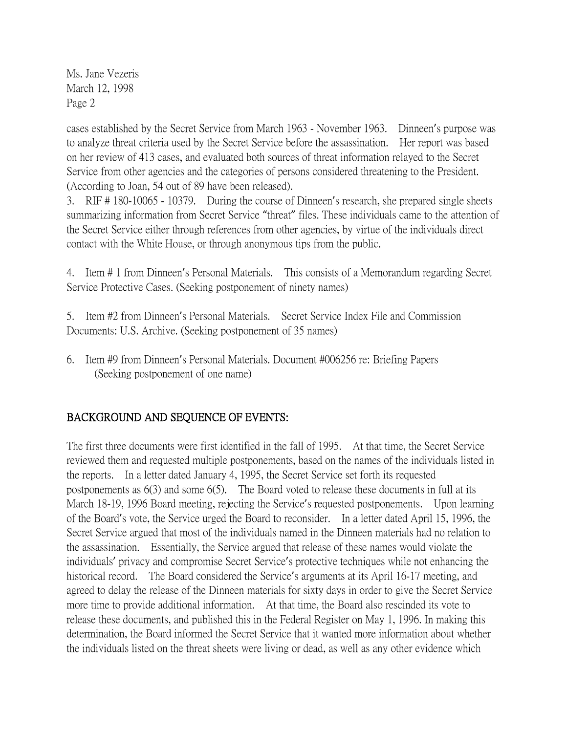cases established by the Secret Service from March 1963 - November 1963. Dinneen's purpose was to analyze threat criteria used by the Secret Service before the assassination. Her report was based on her review of 413 cases, and evaluated both sources of threat information relayed to the Secret Service from other agencies and the categories of persons considered threatening to the President. (According to Joan, 54 out of 89 have been released).

3. RIF # 180-10065 - 10379. During the course of Dinneen's research, she prepared single sheets summarizing information from Secret Service "threat" files. These individuals came to the attention of the Secret Service either through references from other agencies, by virtue of the individuals direct contact with the White House, or through anonymous tips from the public.

4. Item # 1 from Dinneen's Personal Materials. This consists of a Memorandum regarding Secret Service Protective Cases. (Seeking postponement of ninety names)

5. Item #2 from Dinneen's Personal Materials. Secret Service Index File and Commission Documents: U.S. Archive. (Seeking postponement of 35 names)

6. Item #9 from Dinneen's Personal Materials. Document #006256 re: Briefing Papers (Seeking postponement of one name)

# BACKGROUND AND SEQUENCE OF EVENTS:

The first three documents were first identified in the fall of 1995. At that time, the Secret Service reviewed them and requested multiple postponements, based on the names of the individuals listed in the reports. In a letter dated January 4, 1995, the Secret Service set forth its requested postponements as 6(3) and some 6(5). The Board voted to release these documents in full at its March 18-19, 1996 Board meeting, rejecting the Service's requested postponements. Upon learning of the Board's vote, the Service urged the Board to reconsider. In a letter dated April 15, 1996, the Secret Service argued that most of the individuals named in the Dinneen materials had no relation to the assassination. Essentially, the Service argued that release of these names would violate the individuals' privacy and compromise Secret Service's protective techniques while not enhancing the historical record. The Board considered the Service's arguments at its April 16-17 meeting, and agreed to delay the release of the Dinneen materials for sixty days in order to give the Secret Service more time to provide additional information. At that time, the Board also rescinded its vote to release these documents, and published this in the Federal Register on May 1, 1996. In making this determination, the Board informed the Secret Service that it wanted more information about whether the individuals listed on the threat sheets were living or dead, as well as any other evidence which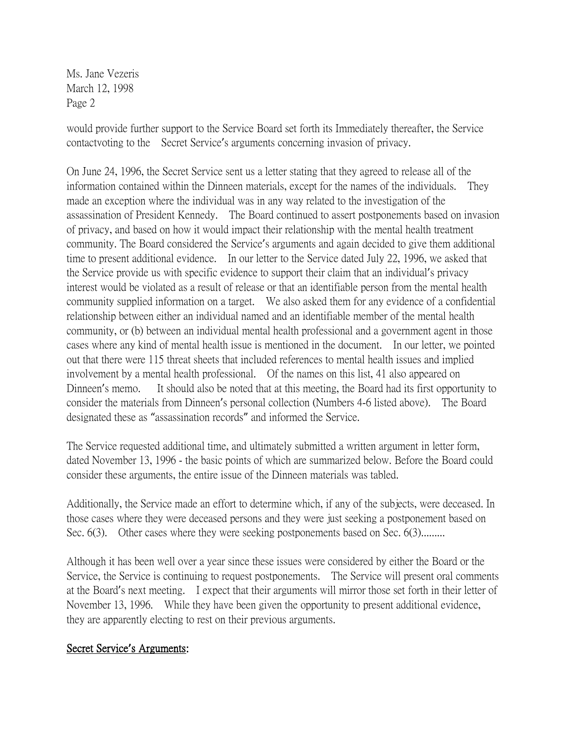would provide further support to the Service Board set forth its Immediately thereafter, the Service contactvoting to the Secret Service's arguments concerning invasion of privacy.

On June 24, 1996, the Secret Service sent us a letter stating that they agreed to release all of the information contained within the Dinneen materials, except for the names of the individuals. They made an exception where the individual was in any way related to the investigation of the assassination of President Kennedy. The Board continued to assert postponements based on invasion of privacy, and based on how it would impact their relationship with the mental health treatment community. The Board considered the Service's arguments and again decided to give them additional time to present additional evidence. In our letter to the Service dated July 22, 1996, we asked that the Service provide us with specific evidence to support their claim that an individual's privacy interest would be violated as a result of release or that an identifiable person from the mental health community supplied information on a target. We also asked them for any evidence of a confidential relationship between either an individual named and an identifiable member of the mental health community, or (b) between an individual mental health professional and a government agent in those cases where any kind of mental health issue is mentioned in the document. In our letter, we pointed out that there were 115 threat sheets that included references to mental health issues and implied involvement by a mental health professional. Of the names on this list, 41 also appeared on Dinneen's memo. It should also be noted that at this meeting, the Board had its first opportunity to consider the materials from Dinneen's personal collection (Numbers 4-6 listed above). The Board designated these as "assassination records" and informed the Service.

The Service requested additional time, and ultimately submitted a written argument in letter form, dated November 13, 1996 - the basic points of which are summarized below. Before the Board could consider these arguments, the entire issue of the Dinneen materials was tabled.

Additionally, the Service made an effort to determine which, if any of the subjects, were deceased. In those cases where they were deceased persons and they were just seeking a postponement based on Sec. 6(3). Other cases where they were seeking postponements based on Sec. 6(3).........

Although it has been well over a year since these issues were considered by either the Board or the Service, the Service is continuing to request postponements. The Service will present oral comments at the Board's next meeting. I expect that their arguments will mirror those set forth in their letter of November 13, 1996. While they have been given the opportunity to present additional evidence, they are apparently electing to rest on their previous arguments.

### Secret Service**'**s Arguments: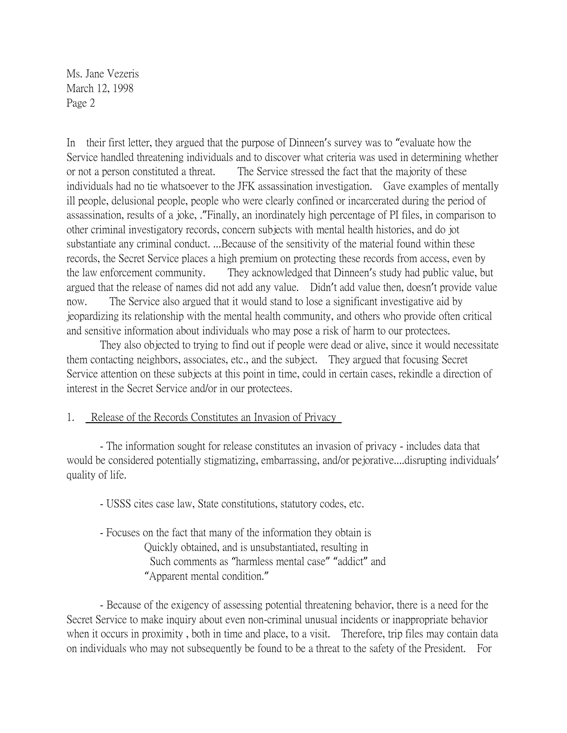In their first letter, they argued that the purpose of Dinneen's survey was to "evaluate how the Service handled threatening individuals and to discover what criteria was used in determining whether or not a person constituted a threat. The Service stressed the fact that the majority of these individuals had no tie whatsoever to the JFK assassination investigation. Gave examples of mentally ill people, delusional people, people who were clearly confined or incarcerated during the period of assassination, results of a joke, ."Finally, an inordinately high percentage of PI files, in comparison to other criminal investigatory records, concern subjects with mental health histories, and do jot substantiate any criminal conduct. ...Because of the sensitivity of the material found within these records, the Secret Service places a high premium on protecting these records from access, even by the law enforcement community. They acknowledged that Dinneen's study had public value, but argued that the release of names did not add any value. Didn't add value then, doesn't provide value now. The Service also argued that it would stand to lose a significant investigative aid by jeopardizing its relationship with the mental health community, and others who provide often critical and sensitive information about individuals who may pose a risk of harm to our protectees.

They also objected to trying to find out if people were dead or alive, since it would necessitate them contacting neighbors, associates, etc., and the subject. They argued that focusing Secret Service attention on these subjects at this point in time, could in certain cases, rekindle a direction of interest in the Secret Service and/or in our protectees.

#### 1. Release of the Records Constitutes an Invasion of Privacy

- The information sought for release constitutes an invasion of privacy - includes data that would be considered potentially stigmatizing, embarrassing, and/or pejorative....disrupting individuals' quality of life.

- USSS cites case law, State constitutions, statutory codes, etc.
- Focuses on the fact that many of the information they obtain is Quickly obtained, and is unsubstantiated, resulting in Such comments as "harmless mental case" "addict" and "Apparent mental condition."

- Because of the exigency of assessing potential threatening behavior, there is a need for the Secret Service to make inquiry about even non-criminal unusual incidents or inappropriate behavior when it occurs in proximity, both in time and place, to a visit. Therefore, trip files may contain data on individuals who may not subsequently be found to be a threat to the safety of the President. For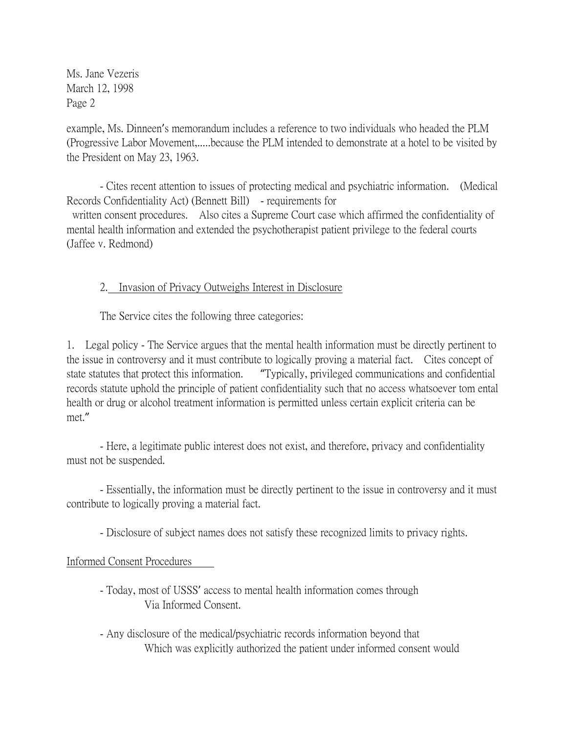example, Ms. Dinneen's memorandum includes a reference to two individuals who headed the PLM (Progressive Labor Movement,.....because the PLM intended to demonstrate at a hotel to be visited by the President on May 23, 1963.

- Cites recent attention to issues of protecting medical and psychiatric information. (Medical Records Confidentiality Act) (Bennett Bill) - requirements for written consent procedures. Also cites a Supreme Court case which affirmed the confidentiality of mental health information and extended the psychotherapist patient privilege to the federal courts (Jaffee v. Redmond)

### 2. Invasion of Privacy Outweighs Interest in Disclosure

The Service cites the following three categories:

1. Legal policy - The Service argues that the mental health information must be directly pertinent to the issue in controversy and it must contribute to logically proving a material fact. Cites concept of state statutes that protect this information. "Typically, privileged communications and confidential records statute uphold the principle of patient confidentiality such that no access whatsoever tom ental health or drug or alcohol treatment information is permitted unless certain explicit criteria can be met."

- Here, a legitimate public interest does not exist, and therefore, privacy and confidentiality must not be suspended.

- Essentially, the information must be directly pertinent to the issue in controversy and it must contribute to logically proving a material fact.

- Disclosure of subject names does not satisfy these recognized limits to privacy rights.

#### Informed Consent Procedures

- Today, most of USSS' access to mental health information comes through Via Informed Consent.
- Any disclosure of the medical/psychiatric records information beyond that Which was explicitly authorized the patient under informed consent would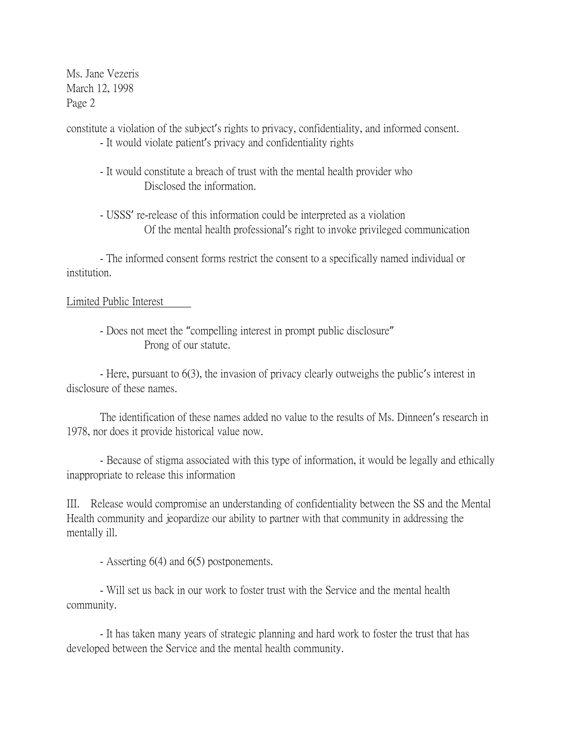constitute a violation of the subject's rights to privacy, confidentiality, and informed consent.

- It would violate patient's privacy and confidentiality rights
- It would constitute a breach of trust with the mental health provider who Disclosed the information.
- USSS' re-release of this information could be interpreted as a violation Of the mental health professional's right to invoke privileged communication

- The informed consent forms restrict the consent to a specifically named individual or institution.

## Limited Public Interest

- Does not meet the "compelling interest in prompt public disclosure" Prong of our statute.

- Here, pursuant to 6(3), the invasion of privacy clearly outweighs the public's interest in disclosure of these names.

The identification of these names added no value to the results of Ms. Dinneen's research in 1978, nor does it provide historical value now.

- Because of stigma associated with this type of information, it would be legally and ethically inappropriate to release this information

III. Release would compromise an understanding of confidentiality between the SS and the Mental Health community and jeopardize our ability to partner with that community in addressing the mentally ill.

- Asserting 6(4) and 6(5) postponements.

- Will set us back in our work to foster trust with the Service and the mental health community.

- It has taken many years of strategic planning and hard work to foster the trust that has developed between the Service and the mental health community.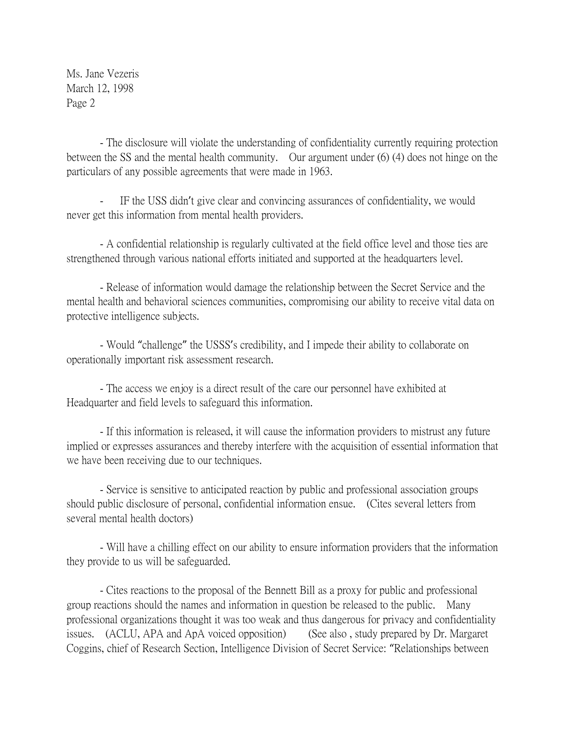- The disclosure will violate the understanding of confidentiality currently requiring protection between the SS and the mental health community. Our argument under (6) (4) does not hinge on the particulars of any possible agreements that were made in 1963.

- IF the USS didn't give clear and convincing assurances of confidentiality, we would never get this information from mental health providers.

- A confidential relationship is regularly cultivated at the field office level and those ties are strengthened through various national efforts initiated and supported at the headquarters level.

- Release of information would damage the relationship between the Secret Service and the mental health and behavioral sciences communities, compromising our ability to receive vital data on protective intelligence subjects.

- Would "challenge" the USSS's credibility, and I impede their ability to collaborate on operationally important risk assessment research.

- The access we enjoy is a direct result of the care our personnel have exhibited at Headquarter and field levels to safeguard this information.

- If this information is released, it will cause the information providers to mistrust any future implied or expresses assurances and thereby interfere with the acquisition of essential information that we have been receiving due to our techniques.

- Service is sensitive to anticipated reaction by public and professional association groups should public disclosure of personal, confidential information ensue. (Cites several letters from several mental health doctors)

- Will have a chilling effect on our ability to ensure information providers that the information they provide to us will be safeguarded.

- Cites reactions to the proposal of the Bennett Bill as a proxy for public and professional group reactions should the names and information in question be released to the public. Many professional organizations thought it was too weak and thus dangerous for privacy and confidentiality issues. (ACLU, APA and ApA voiced opposition) (See also , study prepared by Dr. Margaret Coggins, chief of Research Section, Intelligence Division of Secret Service: "Relationships between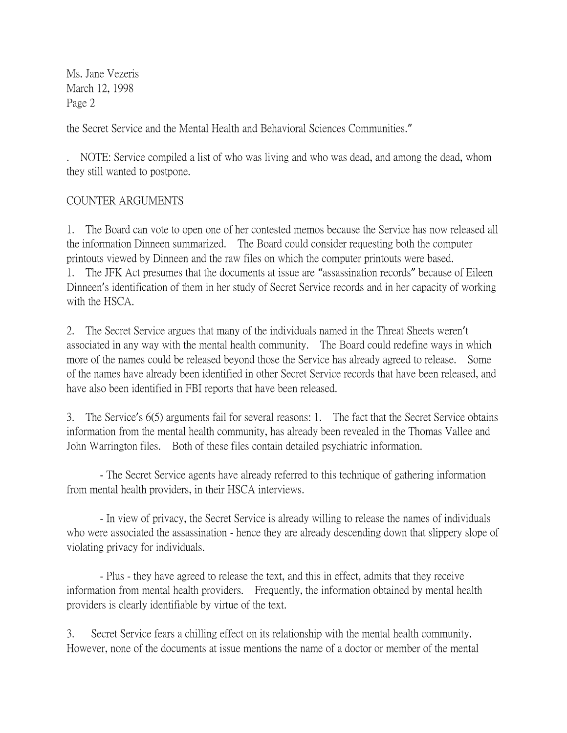the Secret Service and the Mental Health and Behavioral Sciences Communities."

. NOTE: Service compiled a list of who was living and who was dead, and among the dead, whom they still wanted to postpone.

## COUNTER ARGUMENTS

1. The Board can vote to open one of her contested memos because the Service has now released all the information Dinneen summarized. The Board could consider requesting both the computer printouts viewed by Dinneen and the raw files on which the computer printouts were based. 1. The JFK Act presumes that the documents at issue are "assassination records" because of Eileen Dinneen's identification of them in her study of Secret Service records and in her capacity of working with the HSCA.

2. The Secret Service argues that many of the individuals named in the Threat Sheets weren't associated in any way with the mental health community. The Board could redefine ways in which more of the names could be released beyond those the Service has already agreed to release. Some of the names have already been identified in other Secret Service records that have been released, and have also been identified in FBI reports that have been released.

3. The Service's 6(5) arguments fail for several reasons: 1. The fact that the Secret Service obtains information from the mental health community, has already been revealed in the Thomas Vallee and John Warrington files. Both of these files contain detailed psychiatric information.

- The Secret Service agents have already referred to this technique of gathering information from mental health providers, in their HSCA interviews.

- In view of privacy, the Secret Service is already willing to release the names of individuals who were associated the assassination - hence they are already descending down that slippery slope of violating privacy for individuals.

- Plus - they have agreed to release the text, and this in effect, admits that they receive information from mental health providers. Frequently, the information obtained by mental health providers is clearly identifiable by virtue of the text.

3. Secret Service fears a chilling effect on its relationship with the mental health community. However, none of the documents at issue mentions the name of a doctor or member of the mental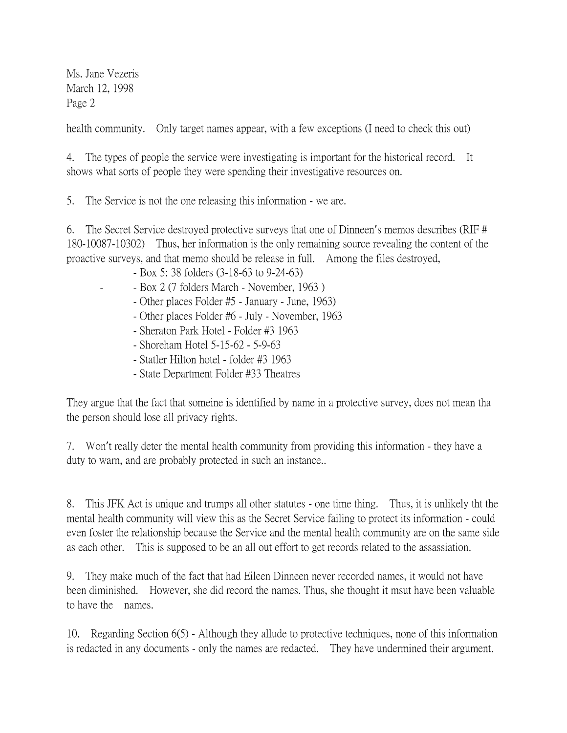health community. Only target names appear, with a few exceptions (I need to check this out)

4. The types of people the service were investigating is important for the historical record. It shows what sorts of people they were spending their investigative resources on.

5. The Service is not the one releasing this information - we are.

6. The Secret Service destroyed protective surveys that one of Dinneen's memos describes (RIF # 180-10087-10302) Thus, her information is the only remaining source revealing the content of the proactive surveys, and that memo should be release in full. Among the files destroyed,

- Box 5: 38 folders (3-18-63 to 9-24-63)
- - Box 2 (7 folders March November, 1963 )
	- Other places Folder #5 January June, 1963)
	- Other places Folder #6 July November, 1963
	- Sheraton Park Hotel Folder #3 1963
	- Shoreham Hotel 5-15-62 5-9-63
	- Statler Hilton hotel folder #3 1963
	- State Department Folder #33 Theatres

They argue that the fact that someine is identified by name in a protective survey, does not mean tha the person should lose all privacy rights.

7. Won't really deter the mental health community from providing this information - they have a duty to warn, and are probably protected in such an instance..

8. This JFK Act is unique and trumps all other statutes - one time thing. Thus, it is unlikely tht the mental health community will view this as the Secret Service failing to protect its information - could even foster the relationship because the Service and the mental health community are on the same side as each other. This is supposed to be an all out effort to get records related to the assassiation.

9. They make much of the fact that had Eileen Dinneen never recorded names, it would not have been diminished. However, she did record the names. Thus, she thought it msut have been valuable to have the names.

10. Regarding Section 6(5) - Although they allude to protective techniques, none of this information is redacted in any documents - only the names are redacted. They have undermined their argument.